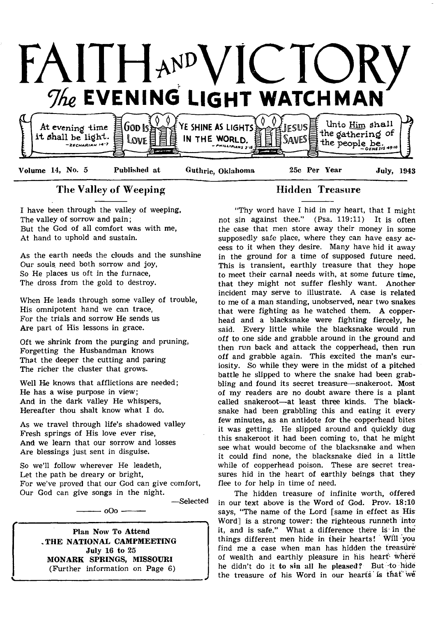

# The Valley of Weeping Hidden Treasure

I have been through the valley of weeping, The valley of sorrow and pain; But the God of all comfort was with me, At hand to uphold and sustain.

As the earth needs the clouds and the sunshine Our souls need both sorrow and joy, So He places us oft in the furnace, The dross from the gold to destroy.

When He leads through some valley of trouble, His omnipotent hand we can trace, For the trials and sorrow He sends us Are part of His lessons in grace.

Oft we shrink from the purging and pruning, Forgetting the Husbandman knows That the deeper the cutting and paring The richer the cluster that grows.

Well He knows that afflictions are needed; He has a wise purpose in view; And in the dark valley He whispers, Hereafter thou shalt know what I do.

As we travel through life's shadowed valley Fresh springs of His love ever rise, And we learn that our sorrow and losses Are blessings just sent in disguise.

So we'll follow wherever He leadeth, Let the path be dreary or bright, For we've proved that our God can give comfort, Our God can give songs in the night.

 $000-$ 

— Selected

A

*J*

Plan Now To Attend ,THE NATIONAL CAMPMEETING July 16 to 25 MONARK SPRINGS, MISSOURI (Further information on Page 6)

v

"Thy word have I hid in my heart, that I might not sin against thee." (Psa. 119:11) It is often the case that men store away their money in some supposedly safe place, where they can have easy access to it when they desire. Many have hid it away in the ground for a time of supposed future need. This is transient, earthly treasure that they hope to meet their carnal needs with, at some future time, that they might not suffer fleshly want. Another incident may serve to illustrate. A case is related to me of a man standing, unobserved, near two snakes that were fighting as he watched them. A copperhead and a blacksnake were fighting fiercely, he said. Every little while the blacksnake would run off to one side and grabble around in the ground and then run back and attack the copperhead, then run off and grabble again. This excited the man's curiosity. So while they were in the midst of a pitched battle he slipped to where the snake had been grabbling and found its secret treasure—snakeroot. Most of my readers are no doubt aware there is a plant called snakeroot—at least three kinds. The blacksnake had been grabbling this and eating it every few minutes, as an antidote for the copperhead bites it was getting. He slipped around and quickly dug this snakeroot it had been coming to, that he might see what would become of the blacksnake and when it could find none, the blacksnake died in a little while of copperhead poison. These are secret treasures hid in the heart of earthly beings that they flee to for help in time of need.

The hidden treasure of infinite worth, offered in our text above is the Word of God. Prov. 18:10 says, "The name of the Lord [same in effect as His Word] is a strong tower: the righteous runneth into it, and is safe." What a difference there is in the things different men hide in their hearts! Will you find me a case when man has hidden the treasure' of wealth and earthly pleasure in his heart where he didn't do it to sin all lie pleased? But -to hide the treasure of his Word in our hearts is that'we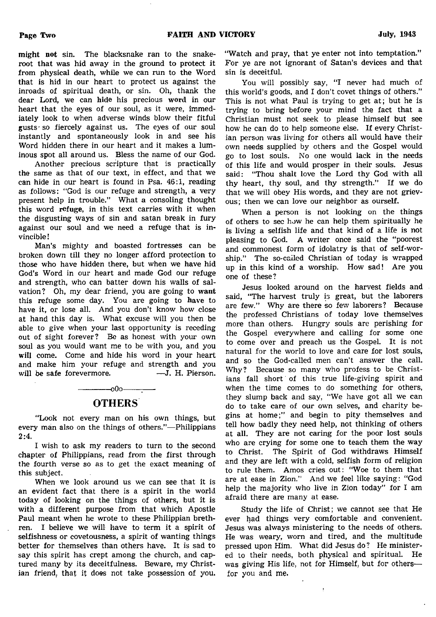might not sin. The blacksnake ran to the snakeroot that was hid away in the ground to protect it from physical death, while we can run to the Word that is hid in our heart to protect us against the inroads of spiritual death, or sin. Oh, thank the dear Lord, we can hide his precious word in our heart that the eyes of our soul, as it were, immediately look to when adverse winds blow their fitful gusts- so fiercely against us. The eyes of our soul instantly and spontaneously look in and see his Word hidden there in our heart and it makes a luminous spot all around us. Bless the name of our God.

Another precious scripture that is practically the same as that of our text, in effect, and that we can hide in our heart is found in Psa. 46:1, reading as follows: "God is our refuge and strength, a very present help in trouble." What a consoling thought this word refuge, in this text carries with it when the disgusting ways of sin and satan break in fury against our soul and we need a refuge that is invincible !

Man's mighty and boasted fortresses can be broken down till they no longer afford protection to those who have hidden there, but when we have hid God's Word in our heart and made God our refuge and strength, who can batter down his walls of salvation? Oh, my dear friend, you are going to want this refuge some day. You are going to have to have it, or lose all. And you don't know how close at hand this day is. What excuse will you then be able to give when your last opportunity is receding out of sight forever? Be as honest with your own soul as you would want me to be with you, and you will come. Come and hide his word in your heart and make him your refuge and strength and you will be safe forevermore. — J. H. Pierson.

# OTHERS

-------------0O0-------:-----

"Look not every man on his own things, but every man also on the things of others."— Philippians 2:4.

I wish to ask my readers to turn to the second chapter of Philippians, read from the first through the fourth verse so as to get the exact meaning of this subject.

When we look around us we can see that it is an evident fact that there is a spirit in the world today of looking on the things of others, but it is with a different purpose from that which Apostle Paul meant when he wrote to these Philippian brethren. I believe we will have to term it a spirit of selfishness or covetousness, a spirit of wanting things better for themselves than others have. It is sad to say this spirit has crept among the church, and captured many by its deceitfulness. Beware, my Christian friend, that it does not take possession of you.

"Watch and pray, that ye enter not into temptation." For ye are not ignorant of Satan's devices and that sin is deceitful.

You will possibly say, "I never had much of this world's goods, and I don't covet things of others." This is not what Paul is trying to get at; but he is trying to bring before your mind the fact that a Christian must not seek to please himself but see how he can do to help someone else. If every Christian person was living for others all would have their own needs supplied by others and the Gospel would go to lost souls. No one would lack in the needs of this life and would prosper in their souls. Jesus said: "Thou shalt love the Lord thy God with all thy heart, thy soul, and thy strength." If we do that we will obey His words, and they are not grievous; then we can love our neighbor as ourself.

When a person is not looking on the things of others to sec how he can help them spiritually he is living a selfish life and that kind of a life is not pleasing to God. A writer once said the "poorest and commonest form of idolatry is that of self-worship." The so-called Christian of today is wrapped up in this kind of a worship. How sad! Are you one of these?

Jesus looked around on the harvest fields and said, "The harvest truly is great, but the laborers are few." Why are there so few laborers? Because the professed Christians of today love themselves more than others. Hungry souls are perishing for the Gospel everywhere and calling for some one to come over and preach us the Gospel. It is not natural for the world to love and care for lost souls, and so the God-called men can't answer the call. Why? Because so many who profess to be Christians fall short' of this true life-giving spirit and when the time comes to do something for others, they slump back and say, "We have got all we can do to take care of our own selves, and charity begins at home;" and begin to pity themselves and tell how badly they need help, not thinking of others at all. They are not caring for the poor lost souls who are crying for some one to teach them the way to Christ. The Spirit of God withdraws Himself and they are left with a cold, selfish form of religion to rule them. Amos cries out: "Woe to them that are at ease in Zion." And we feel like saying: "God help the majority who live in Zion today" for I am afraid there are many at ease.

Study the life of Christ; we cannot see that He ever had things very comfortable and convenient. Jesus was always ministering to the needs of others. He was weary, worn and tired, and the multitude pressed upon Him. What did Jesus do? He ministered to their needs, both physical and spiritual. He was giving His life, not for Himself, but for others for you and me.

 $\frac{1}{2}$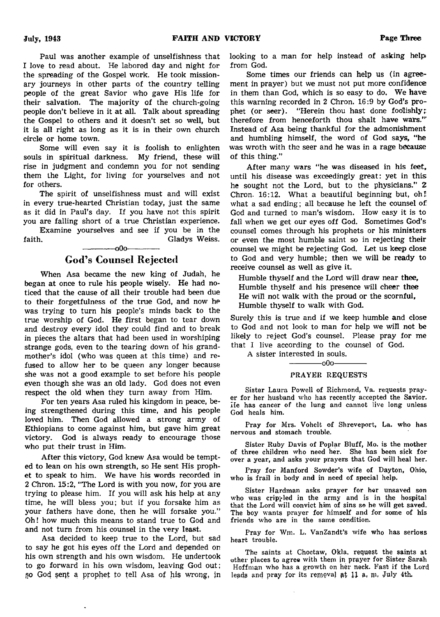Paul was another example of unselfishness that 1 love to read about. He labored day and night for the spreading of the Gospel work. He took missionary journeys in other parts of the country telling people of the great Savior who gave His life for their salvation. The majority of the church-going people don't believe in it at all. Talk about spreading the Gospel to others and it doesn't set so well, but it is all right as long as it is in their own church circle or home town.

Some will even say it is foolish to enlighten souls in spiritual darkness. My friend, these will rise in judgment and condemn you for not sending them the Light, for living for yourselves and not for others.

The spirit of unselfishness must and will exist in every true-hearted Christian today, just the same as it did in Paul's day. If you have not this spirit you are falling short of a true Christian experience.

Examine yourselves and see if you be in the faith. Gladys Weiss. ------------- 0O0-------------

# God's Counsel Rejected

When Asa became the new king of Judah, he began at once to rule his people wisely. He had noticed that the cause of all their trouble had been due to their forgetfulness of the true God, and now he was trying to turn his people's minds back to the true worship of God. He first began to tear down and destroy every idol they could find and to break in pieces the altars that had been used in worshiping strange gods, even to the tearing down of his grandmother's idol (who was queen at this time) and refused to allow her to be queen any longer because she was not a good example to set before his people even though she was an old lady. God does not even respect the old when they turn away from Him.

For ten years Asa ruled his kingdom in peace, being strengthened during this time, and his people loved him. Then God allowed a strong army of Ethiopians to come against him, but gave him great victory. God is always ready to encourage those who put their trust in Him.

After this victory, God knew Asa would be tempted to lean on his own strength, so He sent His prophet to speak to him. We have his words recorded in 2 Chron. 15:2, "The Lord is with you now, for you are trying to please him. If you will ask his help at any time, he will bless you; but if you forsake him as your fathers have done, then he will forsake you." Oh! how much this means to stand true to God and and not turn from his counsel in the very least.

Asa decided to keep true to the Lord, but sad to say he got his eyes off the Lord and depended on his own strength and his own wisdom. He undertook to go forward in his own wisdom, leaving God out; so God sent a prophet to tell Asa of his wrong, in

looking to a man for help instead of asking helpfrom God.

Some times our friends can help us (in agreement in prayer) but we must not put more confidence in them than God, which is so easy to do. We have this warning recorded in 2 Chron. 16:9 by God's prophet (or seer). "Herein thou hast done foolishly; therefore from henceforth thou shalt have wars."' Instead of Asa being thankful for the admonishment and humbling himself, the word of God says, "he was wroth with the seer and he was in a rage because of this thing."

After many wars "he was diseased in his feet, until his disease was exceedingly great: yet in this he sought not the Lord, but to the physicians." 2 Chron.  $16:12$ . What a beautiful beginning but, oh! what a sad ending; all because he left the counsel of: God and turned to man's wisdom. How easy it is to fall when we get our eyes off God. Sometimes God's counsel comes through his prophets or his ministers or even the most humble saint so in rejecting their counsel we might be rejecting God. Let us keep close to God and very humble; then we will be ready to receive counsel as well as give it.

Humble thyself and the Lord will draw near thee, Humble thyself and his presence will cheer thee He will not walk with the proud or the scornful, Humble thyself to walk with God.

Surely this is true and if we keep humble and close to God and not look to man for help we will not be likely to reject God's counsel. Please pray for me that I live according to the counsel of God.

A sister interested in souls.

 $-00$ o-

### **P R AYER REQUESTS**

**Sister Laura Powell of Richmond, Va. requests prayer for her husband who has recently accepted the Savior. He has cancer of the lung and cannot live long unless God heals him.**

**Pray for Mrs. Vohelt of Shreveport, La. who has nervous and stomach trouble.**

**Sister Ruby Davis of Poplar Bluff, Mo. is the mother of three children who need her. She has been sick for over a year, and asks your prayers that God will heal her.**

**Pray for Manford Sowder's wife of Dayton, Ohio, who is frail in body and in need of special help.**

**Sister Hardman asks prayer for hor unsaved son who was cripi-led in the army and is in the hospital that the Lord will convict him of sins so he will get saved. The boy wants prayer for himself and for some of his friends who are in the same condition.**

Pray for Wm. L. VanZandt's wife who has serious **heart trouble.**

**The saints at Choctaw, Okla. request the saints at other places to agree with them in prayer for Sister Sarah Hoffman who has a growth on her neck. Fast if the Lord** leads and pray for its removal at 11 a, m. July 4th.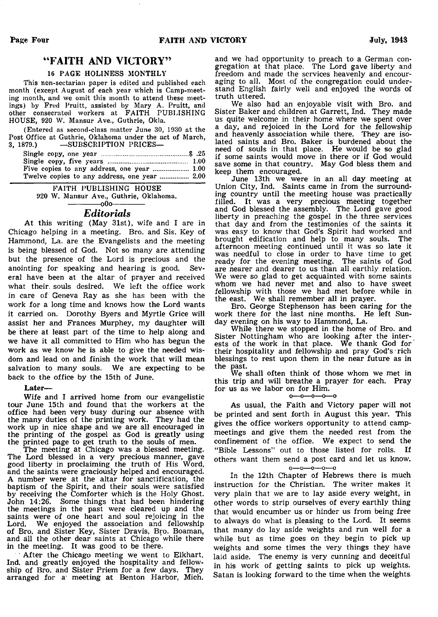# "FAITH AND VICTORY"

#### **16 PAGE HOLINESS MONTHLY**

**This non-sectarian paper is edited and published each month (except August of each year which is Camp-meeting month, and we omit this month to attend these meetings) by Fred Pruitt, assisted by Mary A. Pruitt, and other consecrated workers at FAITH PUBLISHING** HOUSE, 920 W. Mansur Ave., Guthrie, Okla.

**(Entered as second-class matter June 30, 1930 at the Post Office at Guthrie, Oklahoma under the act of March,**  $-$ **SUBSCRIPTION PRICES** 

| Twelve copies to any address, one year  2.00 |  |
|----------------------------------------------|--|

**FAITH PUBLISHING HOUSE 920 W . Mansur Ave., Guthrie, Oklahoma.**  $-000-$ 

# *Editorials*

At this writing (May 31st), wife and I are in Chicago helping in a meeting. Bro. and Sis. Key of Hammond, La. are the Evangelists and the meeting is being blessed of God. Not so many are attending but the presence of the Lord is precious and the anointing for speaking and hearing is good. Several have been at the altar of prayer and received what their, souls desired. We left the office work in care of Geneva Ray as she has been with the work for a long time and knows how the Lord wants it carried on. Dorothy Byers and Myrtle Grice will assist her and Frances Murphey, my daughter will be there at least part of the time to help along and we have it all committed to Him who has begun the work as we know he is able to give the needed wisdom and lead on and finish the work that will mean salvation to many souls. We are expecting to be back to the office by the 15th of June.

#### Later—

Wife and I arrived home from our evangelistic tour June 15th and found that the workers at the office had been very busy during our absence with the many duties of the printing work. They had the work up in nice shape and we are all encouraged in the printing of the gospel as God is greatly using the printed page to get truth to the souls of men.

The meeting at Chicago was a blessed meeting. The Lord blessed in a very precious manner, gave good liberty in proclaiming the truth of His Word, and the saints were graciously helped and encouraged. A number were at the altar for sanctification, the baptism of the Spirit, and their souls were satisfied by receiving the Comforter which is the Holy Ghost. John 14:26. Some things that had been hindering the meetings in the past were cleared up and the saints were of one heart and soul rejoicing in the Lord. We enjoyed the association and fellowship of Bro. and Sister Key, Sister Dravis, Bro. Boaman, and all the other dear saints at Chicago while there in the meeting. It was good to be there.

After the Chicago meeting we went to Elkhart, Ind. and greatly enjoyed the hospitality and fellowship of Bro. and Sister Priem for a few days. They arranged for a meeting at Benton Harbor, Mich. and we had opportunity to preach to a German congregation at that place. The Lord gave liberty and freedom and made the services heavenly and encouraging to all. Most of the congregation could understand English fairly well and enjoyed the words of truth uttered.

We also had an enjoyable visit with Bro. and Sister Baker and children at Garrett, Ind. They made us quite welcome in their home where we spent over a day, and rejoiced in the Lord for the fellowship and heavenly association while there. They are isolated saints and Bro. Baker is burdened about the need of souls in that place. He would be so glad if some saints would move in there or if God would save some in that country. May God bless them and keep them encouraged.

June 13th we were in an all day meeting at Union City, Ind. Saints came in from the surrounding country until the meeting house was practically filled. It was a very precious meeting together and God blessed the assembly. The Lord gave good liberty in preaching the gospel in the three services that day and from the testimonies of the saints it was easy to know that God's Spirit had worked and brought edification and help to many souls. The brought edification and help to many souls. afternoon meeting continued until it was so late it was needful to close in order to have time to get ready for the evening meeting. The saints of God are nearer and dearer to us than all earthly relation. We were so glad to get acquainted with some saints whom we had never met and also to have sweet fellowship with those we had met before while in the east. We shall remember all in prayer.

Bro. George Stephenson has been caring for the work there for the last nine months. He left Sunday evening on his way to Hammond, La.

While there we stopped in the home of Bro. and Sister Nottingham who are looking after the interests of the work in that place. We thank God for their hospitality and fellowship and pray God's rich blessings to rest upon them in the near future as in the past.

We shall often think of those whom we met in this trip and will breathe a prayer for each. Pray for us as we labor on for Him.

#### $0 - 0 - 0 - 0 - 0$

As usual, the Faith and Victory paper will not be printed and sent forth in August this year. This gives the office workers opportunity to attend campmeetings and give them the needed rest from the confinement of the office. We expect to send the "Bible Lessons" out to those listed for rolls. If others want them send a post card and let us know,

#### o—o—o—o—o

In the 12th Chapter of Hebrews there is much instruction for the Christian. The writer makes it very plain that we are to lay aside every weight, in other words to strip ourselves of every earthly thing that would encumber us or hinder us from being free to always do what is pleasing to the Lord. It seems that many do lay aside weights and run well for a while but as time goes on they begin to pick up weights and some times the very things they have laid aside. The enemy is very cunning and deceitful in his work of getting saints to pick up weights. Satan is looking forward to the time when the weights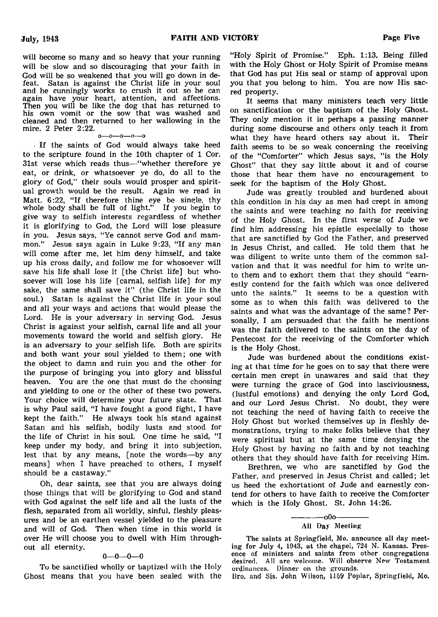will become so many and so heavy that your running will be slow and so discouraging that your faith in God will be so weakened that you will go down in defeat. Satan is against the Christ life in your soul and he cunningly works to crush it out so he can again have your heart, attention, and affections. Then you will be like the dog that has returned to his own vomit or the sow that was washed and cleaned and then returned to her wallowing in the mire. 2 Peter 2:22.

 $0-0-0-0-0$ 

If the saints of God would always take heed to the scripture found in the 10th chapter of 1 Cor. 31st verse which reads thus— "whether therefore ye eat, or drink, or whatsoever ye do, do all to the glory of God," their souls would prosper and spiritual growth would be the result. Again we read in Matt. 6:22. "If therefore thine eye be single, thy whole body shall be full of light." If you begin to give way to selfish interests regardless of whether it is glorifying to God, the Lord will lose pleasure in you. Jesus says, "Ye cannot serve God and mammon." Jesus says again in Luke 9:23, "If any man will come after me, let him deny himself, and take up his cross daily, and follow me for whosoever will save his life shall lose it [the Christ life] but whosoever will lose his life [carnal, selfish life] for my sake, the same shall save it" (the Christ life in the soul.) Satan is against the Christ life in your soul and all your ways and actions that would please the Lord. He is your adversary in serving God. Jesus Christ is against your selfish, carnal life and all your movements toward the world and selfish glory. He is an adversary to your selfish life. Both are spirits and both want your soul yielded to them; one with the object to damn and ruin you and the other for the purpose of bringing you into glory and blissful heaven. You are the one that must do the choosing and yielding to one or the other of these two powers. Your choice will determine your future state. That is why Paul said, "I have fought a good fight, I have kept the faith." He always took his stand against Satan and his selfish, bodily lusts and stood for the life of Christ in his soul. One time he said, "I keep under my body, and bring it into subjection, lest that by any means, [note the words—by any means] when I have preached to others, I myself should be a castaway."

Oh, dear saints, see that you are always doing those things that will be glorifying to God and stand with God against the self life and all the lusts of the flesh, separated from all worldly, sinful, fleshly pleasures and be an earthen vessel yielded to the pleasure and will of God. Then when time in this world is over He will choose you to dwell with Him throughout all eternity.

#### 0—0—0—0

To be sanctified wholly or baptized with the Holy Ghost means that you have been sealed with the "Holy Spirit of Promise." Eph. 1:13. Being filled with the Holy Ghost or Holy Spirit of Promise means that God has put His seal or stamp of approval upon you that you belong to him. You are now His sacred property.

It seems that many ministers teach very little on sanctification or the baptism of the Holy Ghost. They only mention it in perhaps a passing manner during some discourse and others only teach it from what they have heard others say about it. Their faith seems to be so weak concerning the receiving of the "Comforter" which Jesus says, "is the Holy Ghost" that they say little about it and of course those that hear them have no encouragement to seek for the baptism of the Holy Ghost.

Jude was greatly troubled and burdened about this condition in his day as men had crept in among the saints and were teaching no faith for receiving of the Holy Ghost. In the first verse of Jude we find him addressing his epistle especially to those that are sanctified by God the Father, and preserved in Jesus Christ, and called. He told them that he was diligent to write unto them of the common salvation and that it was needful for him to write unto them and to exhort them that they should "earnestly contend for the faith which was once delivered unto the saints." It seems to be a question with some as to when this faith was delivered to the saints and what was the advantage of the same? Personally, I am persuaded that the faith he mentions was the faith delivered to the saints on the day of Pentecost for the receiving of the Comforter which is the Holy Ghost.

Jude was burdened about the conditions existing at that time for he goes on to say that there were certain men crept in unawares and said that they were turning the grace of God into lasciviousness, (lustful emotions) and denying the only Lord God, and our Lord Jesus Christ. No doubt, they were not teaching the need of having faith to receive the Holy Ghost but worked themselves up in fleshly demonstrations, trying to make folks believe that they were spiritual but at the same time denying the Holy Ghost by having no faith and by not teaching others that they should have faith for receiving Him.

Brethren, we who are sanctified by God the Father, and preserved in Jesus Christ and called; let us heed the exhortationt of Jude and earnestly contend for others to have faith to receive the Comforter which is the Holy Ghost. St. John 14:26.

**Bro. and Sis. John Wilson, 1159 Poplar, Springfield, Mo.**

 $-000-$ **All Day Meeting**

**The saints at Springfield, Mo. announce all day meeting for July 4, 1943, at the chapel, 724 N. Kansas. Presence of ministers and saints from other congregations desired. All are welcome. Will observe New Testament ordinances. Dinner on the grounds.**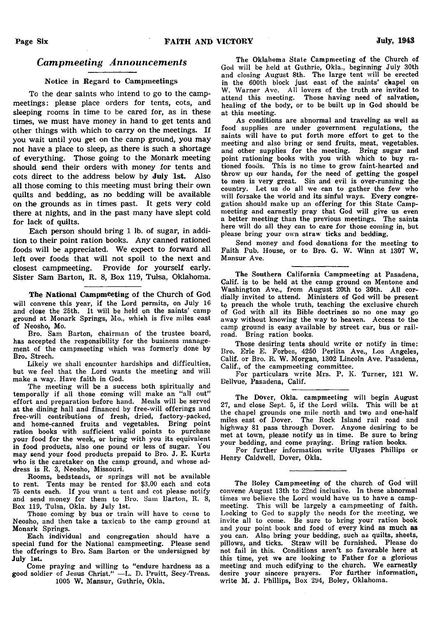# *Campmeeting Announcements*

#### Notice in Regard to Campmeetings

To the dear saints who intend to go to the campmeetings: please place orders for tents, cots, and sleeping rooms in time to be cared for, as in these times, we must have money in hand to get tents and other things with which to carry on the meetings. If you wait until you get on the camp ground, you may not have a place to sleep, as there is such a shortage of everything. Those going to the Monark meeting should send their orders with money for tents and cots direct to the address below by July 1st. Also all those coming to this meeting must bring their own quilts and bedding, as no bedding will be available on the grounds as in times past. It gets very cold there at nights, and in the past many have slept cold for lack of quilts.

Each person should bring 1 lb. of sugar, in addition to their point ration books. Any canned rationed foods will be appreciated. We expect to forward all left over foods that will not spoil to the next and closest campmeeting. Provide for yourself early. Sister Sam Barton, R. 8, Box 119, Tulsa, Oklahoma.

The National Campmeeting of the Church of God **will convene this year, if the Lord permits, on July 16 and close the 25th. It will be held on the saints' camp ground at Monark Springs, Mo., whi«h is five miles east of Neosho, Mo.**

**Bro. Sam Barton, chairman of the trustee board, has accepted the responsibility for the business management of the campmeeting which was formerly done by Bro. Strech.**

**Likely we shall encounter hardships and difficulties, but we feel that the Lord wants the meeting and will make a way. Have faith in God.**

**The meeting will be a success both spiritually and temporally if all those coming will make an " all out" effort and preparation before hand. Meals will be served at the dining hall and financed by free-will offerings and free-will contributions of fresh, dried, factory-packed, and home-canned fruits and vegetables. Bring point ration books with sufficient valid points to purchase your food for the week, or bring with you its equivalent in food products, also one pound or less of sugar. You may send your food products prepaid to Bro. J. E. Kurtz who is the caretaker on the camp ground, and whose address is R. 3, Neosho, Missouri.**

**Rooms, bedsteads, or springs will not be available to rent. Tents may be rented for \$3.00 each and cots 75 cents each. If you want a tent and cot please notify and send money for them to Bro. Sam Barton, R. 8, Box 119, Tulsa, Okla. by July 1st.**

**Those coming by bus or train will have to come to Neosho, and then take a taxicab to the camp ground at Monark Springs.**

**Each individual and congregation should have a special fund for the National campmeeting. Please send the offerings to Bro. Sam Barton or the undersigned by July 1st.**

**Come praying and willing to " endure hardness as a good soldier of Jesus Christ." — L. D. Pruitt, Secy-Treas.** 1005 W. Mansur, Guthrie, Okla.

**The Oklahoma State Campmeeting of the Church of God will be held at Guthrie, Okla., beginning July 30th and closing August 8th. The large tent will be erected in the 600th block just east of the saints' chapel on** W. Warner Ave. All lovers of the truth are invited to **attend this meeting. Those having need of salvation, healing of the body, or to be built up in God should be at this meeting.**

**As conditions are abnormal and traveling as well as food supplies are under government regulations, the saints will have to put forth more effort to get to the meeting and also bring or send fruits, meat, vegetables, and other supplies for the meeting. Bring sugar and point rationing books with you with which to buy rationed foods. This is no time to grow faint-hearted and throw up our hands, for the need of getting the gospel to men is very great. Sin and evil is over-running the country. Let us do all we can to gather the few who will forsake the world and its sinful ways. Every congregation should make up an offering for this State Campmeeting and earnestly pray that God will give us even a better meeting than the previous meetings. The saints here will do all they can to care for those coming in, but please bring your own straw ticks and bedding.**

**Send money and food donations for the meeting to** Faith Pub. House, or to Bro. G. W. Winn at 1307 W. **Mansur Ave.**

**The Southern California Campmeeting at Pasadena, Calif, is to be held at the camp ground on Mentone and Washington Ave., from August 20th to 30th. All cordially invited to attend. Ministers of God will be present to preach the whole truth, teaching the exclusive church of God with all its Bible doctrines so no one may go away without knowing the way to heaven. Access to the camp ground is easy available by street car, bus or railroad. Bring ration books.**

**Those desiring tents should write or notify in time: Bro. Erie E. Forbes, 4250 Perlita Ave., Los Angeles, Calif, or Bro. R. W . Morgan, 1302 Lincoln Ave. Pasadena, Calif., of the campmeeting committee.**

**For particulars write Mrs. P. K. Turner, 121 W . B'ellvue, Pasadena, Calif.**

**The Dover, Okla. campmeeting will begin August 27, and close Sept. 5, if the Lord wills. This will be at the chapel grounds one mile north and two and one-half miles east of Dover. The Rock Island rail road and highway 81 pass through Dover. Anyone desiring to be met at town, please notify us in time. Be sure to bring your bedding, and come praying. Bring ration books.**

**For further information write Ulysses Phillips or Henry Caldwell, Dover, Okla.**

**The Boley Campmeeting of the church of God will convene August 13th to 22nd inclusive. In these abnormal times we believe the Lord would have us to have a campmeeting. This will be largely a campmeeting of faith. Looking to God to supply the needs for the meeting, we invite all to come. Be sure to bring your ration book and your point book and food of every kind as much as you can. Also bring your bedding, such as quilts, sheets, pillows, and ticks. Straw will be furnished. Please do not fail in this. Conditions aren't so favorable here at this time, yet we are looking to Father for a glorious** meeting and much edifying to the church. We earnestly **desire your sincere prayers. For further information, write M. J. Phillips, Box 294, Boley, Oklahoma.**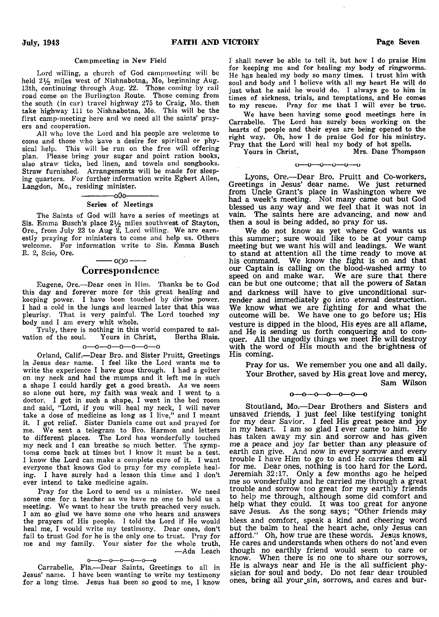#### **Campmeeting in New Field**

**Lord willing, a church of God campmeeting will be held** 2 1/2 **miles west of Nishnabotna, Mo, beginning Aug. 13th, continuing through Aug. 22. Those coming by rail road come on the Burlington Route. Those coming from the south (in car) travel highway 275 to Craig, Mo. then take highway 111 to Nishnabotna, Mo. This will be the first camp-meeting here and we need all the saints' prayers and cooperation.**

**All who love the Lord and his people are welcome to come and those who have a desire for spiritual or physical help. This will be run on the free will offering plan. Please bring your sugar and point ration books, also straw ticks, bed linen, and towels and songbooks. Straw furnished. Arrangements will be made for sleeping quarters. For further information write Egbert Allen, Langdon, Mo., residing minister.**

#### $-000-$ **Series of Meetings**

**The Saints of God will have a series of meetings at Sis. Emma Busch's place 2 i/2 miles southwest of Stay ton, Ore., from July 23 to Aug 2, Lord willing. We are earnestly praying for ministers to come and help us. Others welcome. For information write to Sis. Emma Busch R. 2, Scio, Ore.**

# ------- 0 0 0--------- Correspondence

**Eugene, Ore.— Dear ones in Him. Thanks be to God this day and forever more for this great healing and keeping power. I have been touched by divine power. I had a cold in the lungs and learned later that this was pleurisy. That is very painful. The Lord touched my body and I am every whit whole.**

**Truly, there is nothing in this world compared to sal**vation of the soul.

o—0—o—o— o—o—o

**Orland, Calif.— Dear Bro. and Sister Pruitt, Greetings in Jesus dear name. I feel like the Lord wants me to write the experience I have gone through. I had a goiter on my neck and had the mumps and it left me in such a shape I could hardly get a good breath. As we seem so alone out here, my faith was weak and I went to a doctor. I got in such a shape, I went in the bed room and said, " Lord, if you will heal my neck, I will never take a dose of medicine as long as I live," and I meant it. I got relief. Sister Daniels came out and prayed for** me. We sent a telegram to Bro. Harmon and letters **to different places. The Lord has wonderfully touched my neck and I can breathe so much better. The symptoms come back at times but I know it must be a test. I know the Lord can make a complete cure of it. I want everyone that knows God to pray for my complete healing. I have surely had a lesson this time and I don't ever intend to take medicine again.**

Pray for the Lord to send us a minister. We need **some one for a teacher as we have no one to hold us a** meeting. We want to hear the truth preached very much. **I am so glad we have some one who hears and answers the prayers of His people. I told the Lord if He would heal me, I would write my testimony. Dear ones, don't fail to trust God for he is the only one to trust. Pray for me and my family. Your sister for the whole truth, — Ada Leach**

#### 0— o— o—o— o— 0— 0

**Carrabelle, Fla.— Dear Saints, Greetings to all in Jesus' name. I have been wanting to write my testimony for a long time. Jesus has been so good to me, I know**

**I shall never be able to tell it, but how I do praise Him for keeping me and for healing my body of ringworms. He has healed my body so many times. I trust him with soul and body and I believe with all my heart He will do just what he said he would do. I always go to him in times of sickness, trials, and temptations, and He comes to my rescue. Pray for me that I will ever be true.**

We have been having some good meetings here in **Carrabelle. The Lord has surely been working on the hearts of people and their eyes are being opened to the right way. Oh, how 1 do praise God for his ministry. Pray that the Lord will heal my body of hot spells.**

**Yours in Christ, Mrs. Dane Thompson**

#### o—o— o—o—o—o

Lyons, Ore.— Dear Bro. Pruitt and Co-workers, Greetings in Jesus' dear name. We just returned from Uncle Grant's place in Washington where we had a week's meeting. Not many came out but God blessed us any way and we feel that it was not in vain. The saints here are advancing, and now and then a soul is being added, so pray for us.

We do not know as yet where God wants us this summer; sure would like to be at your camp meeting but we want his will and leadings. We want to stand at attention all the time ready to move at his command. We know the fight is on and that our Captain is calling on the blood-washed army to speed on and make war. We are sure that there can be but one outcome; that all the powers of Satan and darkness will have to give unconditional surrender and immediately go into eternal destruction. We know what we are fighting for and what the outcome will be. We have one to go before us; His vesture is dipped in the blood, His eyes are all aflame, and He is sending us forth conquering and to conquer. All the ungodly things we meet He will destroy with the word of His mouth and the brightness of His coming.

Pray for us. We remember you one and all daily. Your Brother, saved by His great love and mercy, Sam Wilson

 $0 \rightarrow 0 \rightarrow 0 \rightarrow 0 \rightarrow 0 \rightarrow 0$ 

Stoutland, Mo.—Dear Brothers and Sisters and unsaved friends, I just feel like testifying tonight for my dear Savior. I feel His great peace and joy in my heart. I am so glad I ever came to him. He has taken away my sin and sorrow and has given me a peace and joy far better than any pleasure of earth can give. And now in every sorrow and every trouble I have Him to go to and He carries them all for me. Dear ones, nothing is too hard for the Lord. Jeremiah 32:17. Only a few months ago he helped me so wonderfully and he carried me through a great trouble and sorrow too great for my earthly friends to help me through, although some did comfort and help what they could. It was too great for anyone save Jesus. As the song says; "Other friends may bless and comfort, speak a kind and cheering word but the balm to heal the heart ache, only Jesus can afford." Oh, how true are these words. Jesus knows, He cares and understands when others do not'and even though no earthly friend would seem to care or know. When there is no one to share our sorrows, He is always near and He is the all sufficient physician for soul and body. Do not fear dear troubled ones, bring all your sin, sorrows, and cares and bur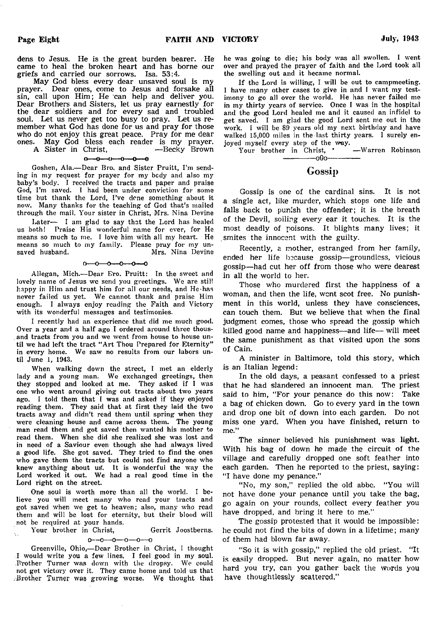dens to Jesus. He is the great burden bearer. . He came to heal the broken heart and has borne our griefs and carried our sorrows. Isa. 53:4.

May God bless every dear unsaved soul is my prayer. Dear ones, come to Jesus and forsake all sin, call upon Him; He can help and deliver you. Dear Brothers and Sisters, let us pray earnestly for the dear soldiers and for every sad and troubled soul. Let us never get too busy to pray. Let us remember what God has done for us and pray for those who do not enjoy this great peace. Pray for me dear ones. May God bless each reader is my prayer.

A Sister in Christ, — Becky Brown

#### -0-0-0-0  $0-0-$

**Goshen, Ala.— Dear Bro. and Sister Pruitt, Pm sending in my request for prayer for my body and also my baby's body. I received the tracts and paper and praise God, I'm saved. I had been under conviction for some time but thank the Lord, I've done something about it now. Many thanks for the teaching of God that's mailed through the mail. Your sister in Christ, Mrs. Nina Devine**

**Later— I am glad to say that the Lord has healed us both! Praise His wonderful name for ever, for He means so much to me. I love him with all my heart. He means so much to my family. Please pray for my unsaved husband. Mrs. Nina Devine**

#### $0 - 0 - 0 - 0 - 0$

**Allegan, Mich.— Dear E'ro. Pruitt: In the sweet and** lovely name of Jesus we send you greetings. We are stil! **happy in Him and trust him for all our needs, and He-has** never failed us yet. We cannot thank and praise Him **enough. I always enjoy reading the Faith and Victory with its wonderful messages and testimonies.**

**I recently had an experience that did me much good. Over a year and a half ago I ordered around three thous- . and tracts from you and we went from house to house until we had left the tract " Art Thou Prepared for Eternity" in every home. We saw no results from our labors until June 1, 1943.**

**When walking down the street, I met an elderly lady and a young man. We exchanged greetings, then they stopped and looked at me. They asked if I was one who went around giving out tracts about two years ago. I told them that I was and asked if they enjoyed reading them. They said that at first they laid the two tracts away and didn't read them until spring when they were cleaning house and came across them. The young man read them and got saved then wanted his mother to read them. When she did she realized she was lost and in need of a Saviour even though she had always lived a good life. She got saved. They tried to find the ones who gave them the tracts but could not find anyone who** knew anything about us. It is wonderful the way the **Lord worked it out. We had a real good time in the Lord right on the street.**

**One soul is worth more than all the world. I believe you will meet many who read your tracts and got saved when we get to heaven; also, many who read them and will be lost for eternity, but their blood will not be required at your hands.**

Your brother in Christ, Gerrit Joostberns.

 $\epsilon$ 

o—o—o—o—o—o

**Greenville, Ohio,— Dear Brother in Christ, I thought I would write you a few lines. I feel good in my soul. B'rother Turner was down with the dropsy. We could not get victory over it. They came home and told us that .Brother** Turner **was growing worse.** We **thought that**

**he was going to die; his body was all swollen. I went** over and prayed the prayer of faith and the Lord took all **the swelling out and it became normal.**

**If the Lord is willing, I will be out to campmeeting. I have many other cases to give in and I want my testimony to go all over the world. He has never failed me in my thirty years of service. Once I was in the hospital and the good Lord healed me and it caused an infidel to get saved. I am glad the good Lord sent me out in the work. I will be 89 years old my next birthday and have walked 15,000 miles in the last thirty years. I surely en-**

**joyed myself every step of the way.**<br>Your brother in Christ, **\*** — Warren Robinson Your brother in Christ,  $\cdot$ -------------oGo-------------

# Gossip

Gossip is one of the cardinal sins. It is not a single act, like murder, which stops one life and falls back to punish the offender; it is the breath of the Devil, soiling every ear it touches. It is the most deadly of poisons. It blights many lives; it smites the innocent with the guilty.

Recently, a mother, estranged from her family, ended her life because gossip— groundless, vicious gossip— had cut her off from those who were dearest in all the world to her.

Those who murdered first the happiness of a woman, and then the life, went scot free. No punishment in this world, unless they have consciences, can touch them. But we believe that when the final judgment comes, those who spread the gossip which killed good name and happiness—and life— will meet the same punishment as that visited upon the sons of Cain.

A minister in Baltimore, told this story, which is an Italian legend:

In the old days, a peasant confessed to a priest that he had slandered an innocent man. The priest said to him, "For your penance do this now: Take a bag of chicken down. Go to every yard in the town and drop one bit of down into each garden. Do not miss one yard. When you have finished, return to me."

The sinner believed his punishment was light. With his bag of down he made the circuit of the village and carefully dropped one soft feather into each garden. Then he reported to the priest, saying: "I have done my penance."

"No, my son," replied the old abbe. "You will not have done your penance until you take the bag, go again on your rounds, collect every feather you have dropped, and bring it here to me."

The gossip protested that it would be impossible: he could not find the bits of down in a lifetime; many of them had blown far away.

"So it is with gossip," replied the old priest. "It is easily dropped. But never again, no matter how hard you try, can you gather back the words you have thoughtlessly scattered,"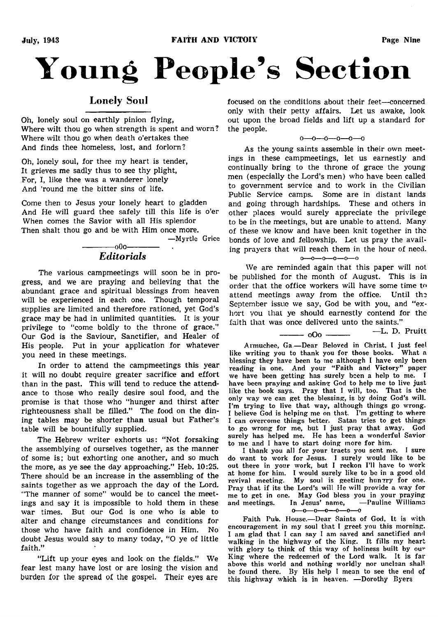# **Young People's Section**

# Lonely Soul

Oh, lonely soul on earthly pinion flying, Where wilt thou go when strength is spent and worn? Where wilt thou go when death o'ertakes thee And finds thee homeless, lost, and forlorn?

Oh, lonely soul, for thee my heart is tender, It grieves me sadly thus to see thy plight, For, I, like thee was a wanderer lonely And 'round me the bitter sins of life.

Come then to Jesus your lonely heart to gladden And He will guard thee safely till this life is o'er When comes the Savior with all His splendor Then shalt thou go and be with Him once more.

**— Myrtle Grice**

# -------------0O0------------- *Editorials*

The various campmeetings will soon be in progress, and we are praying and believing that the abundant grace and spiritual blessings from heaven will be experienced in each one. Though temporal supplies are limited and therefore rationed, yet God's grace may be had in unlimited quantities. It is your privilege to "come boldly to the throne of grace." Our God is the Saviour, Sanctifier, and Healer of His people. Put in your application for whatever you need in these meetings.

In order to attend the campmeetings this year it will no doubt require greater sacrifice and effort than in the past. This will tend to reduce the attendance to those who really desire soul food, and the promise is that those who "hunger and thirst after righteousness shall be filled." The food on the dining tables may be shorter than usual but Father's table will be bountifully supplied.

The Hebrew writer exhorts us: " Not forsaking the assemblying of ourselves together, as the manner of some is; but exhorting one another, and so much the more, as ye see the day approaching." Heb. 10:25. There should be an increase in the assembling of the saints together as we approach the day of the Lord. "The manner of some" would be to cancel the meetings and say it is impossible to hold them in these war times. But our God is one who is able to alter and change circumstances and conditions for those who have faith and confidence in Him. No doubt Jesus would say to many today, "O ye of little faith."

"Lift up your eyes and look on the fields." We fear lest many have lost or are losing the vision and burden for the spread of the gospel. Their eyes are

focused on the conditions about their feet—concerned only with their petty affairs. Let us awake, look out upon the broad fields and lift up a standard for the people.

#### o—O—O—0—0—0

As the young saints assemble in their own meetings in these campmeetings, let us earnestly and continually bring to the throne of grace the young men (especially the Lord's men) who have been called to government service and to work in the Civilian Public Service camps. Some are in distant lands and going through hardships. These and others in other places would surely appreciate the privilege to be in the meetings, but are unable to attend. Many of these we know and have been knit together in the bonds of love and fellowship. Let us pray the availing prayers that will reach them in the hour of need.  $0 - 0 - 0 - 0 - 0$ 

We are reminded again that this paper will not be published for the month of August. This is in order that the office workers will have some time to attend meetings away from the office. Until the September issue we say, God be with you, and "exhort you that ye should earnestly contend for the faith that was once delivered unto the saints."

 $\frac{1}{2}$  o  $\frac{1}{2}$  o  $\frac{1}{2}$   $\frac{1}{2}$   $\frac{1}{2}$   $\frac{1}{2}$   $\frac{1}{2}$   $\frac{1}{2}$   $\frac{1}{2}$   $\frac{1}{2}$   $\frac{1}{2}$   $\frac{1}{2}$   $\frac{1}{2}$   $\frac{1}{2}$   $\frac{1}{2}$   $\frac{1}{2}$   $\frac{1}{2}$   $\frac{1}{2}$   $\frac{1}{2}$   $\frac{1}{2}$   $\frac{1}{2}$   $\frac{1}{2$ 

Armuchee, Ga.-Dear Beloved in Christ, I just feel **like writing you to thank you for those books. What a blessing they have been to me although I have only been reading in one. And your " Faith and Victory" paper we have been getting has surely been a help to me. T have been praying and asking God to help me to live just like the book says. Pray that I will, too. That is the only way we can get the blessing, is by doing God's will. Pm trying to live that way, although things go wrong. I believe God is helping me on that. I'm getting to where I can overcome things better. Satan tries to get things to go wrong for me, but I just pray that away. God surely has helped me. He has been a wonderful Savior to me and I have to start doing more for him.**

**I thank you all for your traets you sent me. I sure do want to work for Jesus. I surely would like to be out there in your work, but I reckon I'll have to work at home for him. I would surely like to be in a good old revival meeting. My soul is geeting hunrry for one. Pray that if its the Lord's will lie will provide a way for me to get in one. May God bless you in your praying and meetings. In Jesus' name, — Pauline Williams**  $0 - 0 - 0 - 0 - 0 - 0$ 

**Faith Pub. House.— Dear Saints of God, It is with encouragement in my soul that I greet you this morning. I am glad that I can say I am saved and sanctified and walking in the highway of the King. It fills my heart with glory to think of this way of holiness built by ou'' King where the redeemed of the Lord walk. It is far above this world and nothing worldly nor unclean shall be found there. By His help I mean to see the end of this highway which is in heaven. — Dorothy Byers**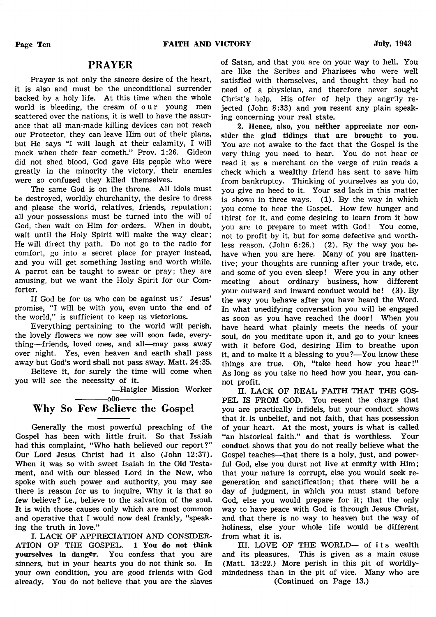# PRAYER

Prayer is not only the sincere desire of the heart, it is also and must be the unconditional surrender backed by a holy life. At this time when the whole world is bleeding, the cream of our young men scattered over the nations, it is well to have the assurance that all man-made killing devices can not reach our Protector, they can leave Him out of their plans, but He says "I will laugh at their calamity, I will mock when their fear cometh." Prov. 1:26. Gideon did not shed blood, God gave His people who were greatly in the minority the victory, their enemies were so confused they killed themselves.

The same God is on the throne. All idols must be destroyed, worldly churchanity, the desire to dress and please the world, relatives, friends, reputation; all your possessions must be turned into the will of God, then wait on Him for orders. When in doubt, wait until the Holy Spirit will make the way clear; He will direct thy path. Do not go to the radio for comfort, go into a secret place for prayer instead, and you will get something lasting and worth while. A parrot can be taught to swear or pray; they are amusing, but we want the Holy Spirit for our Comforter.

If God be for us who can be against us? Jesus' promise, "I will be with you, even unto the end of the world," is sufficient to keep us victorious.

Everything pertaining to the world will perish, the lovely flowers we now see will soon fade, everything—friends, loved ones, and all—may pass away over night. Yes, even heaven and earth shall pass away but God's word shall not pass away. Matt. 24:35.

Believe it, for surely the time will come when you will see the necessity of it.

— Haigler Mission Worker

# $-000$ Why So Few Believe the Gospel

Generally the most powerful preaching of the Gospel has been with little fruit. So that Isaiah had this complaint, "Who hath believed our report?" Our Lord Jesus Christ had it also (John 12:37). When it was so with sweet Isaiah in the Old Testament, and with our blessed Lord in the New, who spoke with such power and authority, you may see there is reason for us to inquire, Why it is that so few believe? i.e., believe to the salvation of the soul. It is with those causes only which are most common and operative that I would now deal frankly, "speaking the truth in love."

I. LACK OF APPRECIATION AND CONSIDER-ATION OF THE GOSPEL. 1 You do not think yourselves in danger. You confess that you are sinners, but in your hearts you do not think so. In your own condition, you are good friends with God already. You do not believe that you are the slaves

of Satan, and that you are on your way to hell. You are like the Scribes and Pharisees who were well satisfied with themselves, and thought they had no need of a physician, and therefore never sought Christ's help. His offer of help they angrily rejected (John 8:33) and you resent any plain speaking concerning your real state.

2. Hence, also, you neither appreciate nor consider the glad tidings that are brought to you. You are not awake to the fact that the Gospel is the very thing you need to hear. You do not hear or read it as a merchant on the verge of ruin reads a check which a wealthy friend has sent to save him from bankruptcy. Thinking of yourselves as you do, you give no heed to it. Your sad lack in this matter is shown in three ways. (1). By the way in which you come to hear the Gospel. How few hunger and thirst for it, and come desiring to learn from it how you are to prepare to meet with God! You come, not to profit by it, but for some defective and worthless reason. (John 6:26.) (2). By the way you behave when you are here. Many of you are inattentive; your thoughts are running after your trade, etc. and some of you even sleep! Were you in any other meeting about ordinary business, how different your outward and inward conduct would be! (3). By the way you behave after you have heard the Word. In what unedifying conversation you will be engaged as soon as you have reached the door! When you have heard what plainly meets the needs of your soul, do you meditate upon it, and go to your knees with it before God, desiring Him to breathe upon it, and to make it a blessing to you?— You know these things are true. Oh, "take heed how you hear!" As long as you take no heed how you hear, you cannot profit.

II. LACK OF REAL FAITH THAT THE GOS-PEL IS FROM GOD. You resent the charge that you are practically infidels, but your conduct shows that it is unbelief, and not faith, that has possession of your heart. At the most, yours is what is called "an historical faith." and that is worthless. Your conduct shows that you do not really believe what the Gospel teaches—that there is a holy, just, and powerful God, else you durst not live at enmity with Him; that your nature is corrupt, else you would seek regeneration and sanctification; that there will be a day of judgment, in which you must stand before God, else you would prepare for it; that the only way to have peace with God is through Jesus Christ, and that there is no way to heaven but the way of holiness, else your whole life would be different from what it is.

III. LOVE OF THE WORLD- of its wealth and its pleasures. This is given as a main cause (Matt. 13:22.) More perish in this pit of worldlymindedness than in the pit of vice. Many who are (Continued on Page 13.)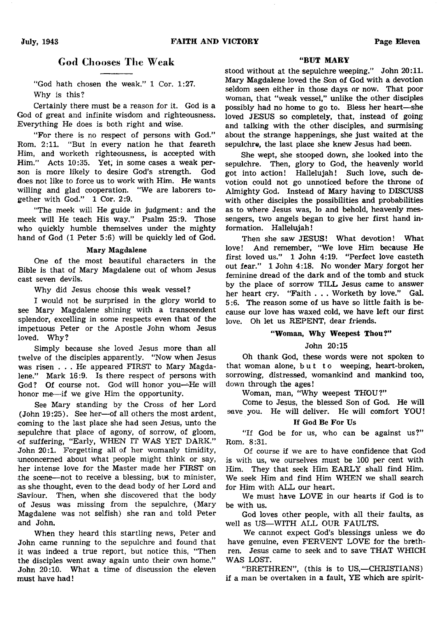# God Chooses The Weak

"God hath chosen the weak." 1 Cor. 1:27. Why is this?

Certainly there must be a reason for it. God is a God of great and infinite wisdom and righteousness. Everything He does is both right and wise.

"For there is no respect of persons with God." Rom. 2:11. "But in every nation he that feareth Him, and worketh righteousness, is accepted with Him." Acts 10:35. Yet, in some cases a weak person is more likely to desire God's strength. God does not like to force us to work with Him. He wants willing and glad cooperation. "We are laborers together with God." 1 Cor. 2:9.

"The meek will He guide in judgment: and the meek will He teach His way." Psalm 25:9. Those who quickly humble themselves under the mighty hand of God (1 Peter 5:6) will be quickly led of God.

#### Mary Magdalene

One of the most beautiful characters in the Bible is that of Mary Magdalene out of whom Jesus cast seven devils.

Why did Jesus choose this weak vessel?

I would not be surprised in the glory world to see Mary Magdalene shining with a transcendent splendor, excelling in some respects even that of the impetuous Peter or the Apostle John whom Jesus loved. Why?

Simply because she loved Jesus more than all twelve of the disciples apparently. "Now when Jesus was risen . . . He appeared FIRST to Mary Magdalene." Mark 16:9. Is there respect of persons with God? Of course not. God will honor you—He will honor me—if we give Him the opportunity.

See Mary standing by the Cross of her Lord (John 19:25). See her—of all others the most ardent, coming to the last place she had seen Jesus, unto the .sepulchre that place of agony, of sorrow, of gloom, •of suffering, "Early, WHEN IT WAS YET DARK." John 20:1. Forgetting all of her womanly timidity, unconcerned about what people might think or say, her intense love for the Master made her FIRST on the scene—not to receive a blessing, but to minister, as she thought, even to the dead body of her Lord and Saviour. Then, when she discovered that the body of Jesus was missing from the sepulchre, (Mary Magdalene was not selfish) she ran and told Peter and John.

When they heard this startling news, Peter and John came running to the sepulchre and found that it was indeed a true report, but notice this, "Then the disciples went away again unto their own home." John 20:10. What a time of discussion the eleven must have had!

#### "BUT MARY

stood without at the sepulchre weeping." John 20:11. Mary Magdalene loved the Son of God with a devotion seldom seen either in those days or now. That poor woman, that "weak vessel," unlike the other disciples possibly had no home to go to. Bless her heart—she loved JESUS so completely, that, instead of going and talking with the other disciples, and surmising about the strange happenings, she just waited at the sepulchre, the last place she knew Jesus had been.

She wept, she stooped down, she looked into the sepulchre. Then, glory to God, the heavenly world got into action! Hallelujah! Such love, such devotion could not go unnoticed before the throne of Almighty God. Instead of Mary having to DISCUSS with other disciples the possibilities and probabilities as to where Jesus was, lo and behold, heavenly messengers, two angels began to give her first hand information. Hallelujah!

Then she saw JESUS! What devotion! What love! And remember, "We love Him because He first loved us." 1 John 4:19. "Perfect love casteth out fear." 1 John 4:18. No wonder Mary forgot her feminine dread of the dark and of the tomb and stuck by the place of sorrow TILL Jesus came to answer her heart cry. "Faith . . . Worketh by love." Gal. 5:6. The reason some of us have so little faith is because our love has waxed cold, we have left our first love. Oh let us REPENT, dear friends.

## " Woman, Why Weepest Thou?"

# John 20:15

Oh thank God, these words were not spoken to that woman alone, but to weeping, heart-broken, sorrowing, distressed, womankind and mankind too, down through the ages!

Woman, man, "Why weepest THOU?"

Come to Jesus, the blessed Son of God. He will save you. He will deliver. He will comfort YOU!

#### If God Be For Us

"If God be for us, who can be against us?" Rom. 8:31.

Of course if we are to have confidence that God is with us, we ourselves must be 100 per cent with Him. They that seek Him EARLY shall find Him. We seek Him and find Him WHEN we shall search for Him with ALL our heart.

We must have LOVE in our hearts if God is to be with us.

God loves other people, with all their faults, as well as US—WITH ALL OUR FAULTS.

We cannot expect God's blessings unless we do have genuine, even FERVENT LOVE for the brethren. Jesus came to seek and to save THAT WHICH WAS LOST.

"BRETHREN", (this is to US,-CHRISTIANS) if a man be overtaken in a fault, YE which are spirit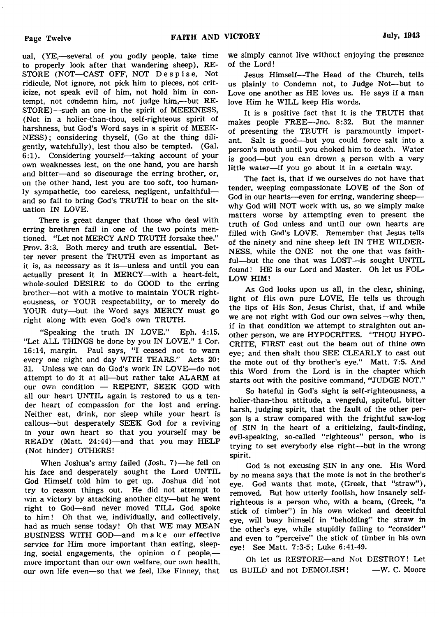ual, (YE,— several of you godly people, take time to properly look after that wandering sheep), RE-STORE (NOT—CAST OFF, NOT Despise, Not ridicule, Not ignore, not pick him to pieces, not criticize, not speak evil of him, not hold him in contempt, not condemn him, not judge him,— but RE-STORE)—such an one in the spirit of MEEKNESS, (Not in a holier-than-thou, self-righteous spirit of harshness, but God's Word says in a spirit of MEEK-NESS) ; considering thyself, (Go at the thing diligently, watchfully), lest thou also be tempted. (Gal. 6:1). Considering yourself— taking account of your own weaknesses lest, on the one hand, you are harsh and bitter—and so discourage the erring brother, or, on the other hand, lest you are too soft, too humanly sympathetic, too careless, negligent, unfaithful and so fail to bring God's TRUTH to bear on the situation IN LOVE.

There is great danger that those who deal with erring brethren fail in one of the two points mentioned. "Let not MERCY AND TRUTH forsake thee." Prov. 3:3. Both mercy and truth are essential. Better never present the TRUTH even as important as it is, as necessary as it is— unless and until you can actually present it in MERCY—with a heart-felt, whole-souled DESIRE to do GOOD to the erring brother— not with a motive to maintain YOUR righteousness, or YOUR respectability, or to merely do YOUR duty—but the Word says MERCY must go right along with even God's own TRUTH.

"Speaking the truth IN LOVE." Eph. 4:15. "Let ALL THINGS be done by you IN LOVE." 1 Cor. 16:14, margin. Paul says, "I ceased not to warn every one night and day WITH TEARS." Acts 20: 31. Unless we can do God's work IN LOVE—do not attempt to do it at all—but rather take ALARM at our own condition — REPENT, SEEK GOD with all our heart UNTIL again is restored to us a tender heart of compassion for the lost and erring. Neither eat, drink, nor sleep while your heart is callous— but desperately SEEK God for a reviving in your own heart so that you yourself may be READY (Matt. 24:44)-and that you may HELP (Not hinder) OTHERS!

When Joshua's army failed (Josh. 7)—he fell on his face and desperately sought the Lord UNTIL God Himself told him to get up. Joshua did not try to reason things out. He did not attempt to win a victory by attacking another city—but he went right to God—and never moved TILL God spoke to him! Oh that we, individually, and collectively, had as much sense today! Oh that WE may MEAN BUSINESS WITH GOD—and make our effective service for Him more important than eating, sleeping, social engagements, the opinion of people, more important than our own welfare, our own health, our own life even—so that we feel, like Finney, that

we simply cannot live without enjoying the presence of the Lord!

Jesus Himself—The Head of the Church, tells us plainly to Condemn not, to Judge Not— but to Love one another as HE loves us. He says if a man love Him he WILL keep His words.

It is a positive fact that it is the TRUTH that makes people FREE— Jno. 8:32. But the manner of presenting the TRUTH is paramountly important. Salt is good— but you could force salt into a person's mouth until you choked him to death. Water is good— but you can drown a person with a very little water— if you go about it in a certain way.

The fact is, that if we ourselves do not have that tender, weeping compassionate LOVE of the Son of God in our hearts—even for erring, wandering sheep why God will NOT work with us, so we simply make matters worse by attempting even to present the truth of God unless and until our own hearts are filled with God's LOVE. Remember that Jesus tells of the ninety and nine sheep left IN THE WILDER-NESS, while the ONE—not the one that was faithful—but the one that was LOST— is sought UNTIL found! HE is our Lord and Master. Oh let us FOL-LOW HIM!

As God looks upon us all, in the clear, shining, light of His own pure LOVE, He tells us through the lips of His Son, Jesus Christ, that, if and while we are not right with God our own selves—why then, if in that condition we attempt to straighten out another person, we are HYPOCRITES. "THOU HYPO-CRITE, FIRST cast out the beam out of thine own eye; and then shalt thou SEE CLEARLY to cast out the mote out of thy brother's eye." Matt. 7:5. And this Word from the Lord is in the chapter which starts out with the positive command, "JUDGE NOT."

So hateful in God's sight is self-righteousness, a holier-than-thou attitude, a vengeful, spiteful, bitter harsh, judging spirit, that the fault of the other person is a straw compared with the frightful saw-log of SIN in the heart of a criticizing, fault-finding, evil-speaking, so-called "righteous" person, who is trying to set everybody else right—but in the wrong spirit.

God is not excusing SIN in any one. His Word by no means says that the mote is not in the brother's eye. God wants that mote, (Greek, that "straw"), removed. But how utterly foolish, how insanely selfrighteous is a person who, with a beam, (Greek, "a stick of timber") in his own wicked and deceitful eye, will busy himself in "beholding" the straw in the other's eye, while stupidly failing to "consider" and even to "perceive" the stick of timber in his own eye! See Matt. 7:3-5; Luke 6:41-49.

Oh let us RESTORE—and Not DESTROY! Let us BUILD and not DEMOLISH! - W. C. Moore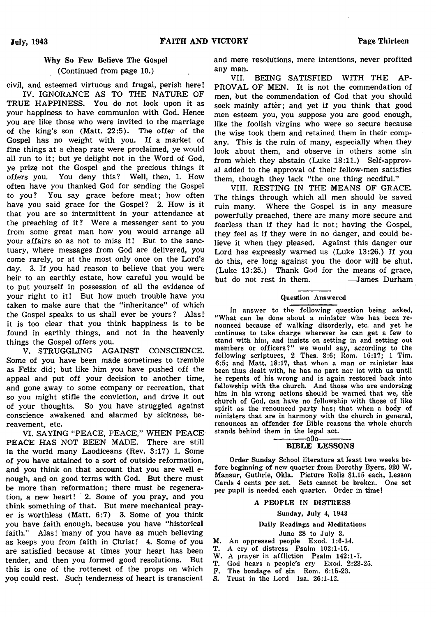# Why So Few Believe The Gospel (Continued from page 10.)

civil, and esteemed virtuous and frugal, perish here! IV. IGNORANCE AS TO THE NATURE OF

TRUE HAPPINESS. You do not look upon it as your happiness to have communion with God. Hence you are like those who were invited to the marriage of the king's son (Matt. 22:5). The offer of the Gospel has no weight with you. If a market of fine things at a cheap rate were proclaimed, ye would all run to it; but ye delight not in the Word of God, ye prize not the Gospel and the precious things it offers you. You deny this? Well, then, 1. How often have you thanked God for sending the Gospel to you? You say grace before meat; how often have you said grace for the Gospel? 2. How is it that you are so intermittent in your attendance at the preaching of it? Were a messenger sent to you from some great man how you would arrange all your affairs so as not to miss it! But to the sanctuary, where messages from God are delivered, you come rarely, or at the most only once on the Lord's day. 3. If you had reason to believe that you were heir to an earthly estate, how careful you would be to put yourself in possession of all the evidence of your right to it! But how much trouble have you taken to make sure that the "inheritance" of which the Gospel speaks to us shall ever be yours? Alas! it is too clear that you think happiness is to be found in earthly things, and not in the heavenly things the Gospel offers you.

V. STRUGGLING AGAINST CONSCIENCE. Some of you have been made sometimes to tremble as Felix did; but like him you have pushed off the appeal and put off your decision to another time, and gone away to some company or recreation, that so you might stifle the conviction, and drive it out of your thoughts. So you have struggled against conscience awakened and alarmed by sickness, bereavement, etc.

VI. SAYING "PEACE, PEACE," WHEN PEACE PEACE HAS NOT BEEN MADE. There are still in the world many Laodiceans (Rev. 3:17) 1. Some of you have attained to a sort of outside reformation, and you think on that account that you are well enough, and on good terms with God. But there must be more than reformation; there must be regeneration, a new heart! 2. Some of you pray, and you think something of that. But mere mechanical prayer is worthless (Matt. 6:7) 3. Some of you think you have faith enough, because you have "historical faith." Alas! many of you have as much believing as keeps you from faith in Christ! 4. Some of you are satisfied because at times your heart has been tender, and then you formed good resolutions. But this is one of the rottenest of the props on which you could rest. Such tenderness of heart is transcient

and mere resolutions, mere intentions, never profited any man.

VII. BEING SATISFIED WITH THE AP-PROVAL OF MEN. It is not the commendation of men, but the commendation of God that you should seek mainly after; and yet if you think that good men esteem you, you suppose you are good enough, like the foolish virgins who were so secure because the wise took them and retained them in their company. This is the ruin of many, especially when they look about them, and observe in others some sin from which they abstain (Luke 18:11.) Self-approval added to the approval of their fellow-men satisfies them, though they lack "the one thing needful."

VIII. RESTING IN THE MEANS OF GRACE. The things through which all men should be saved ruin many. Where the Gospel is in any measure powerfully preached, there are many more secure and fearless than if they had it not; having the Gospel, they feel as if they were in no danger, and could believe it when they pleased. Against this danger our Lord has expressly warned us (Luke 13:26.) If you do this, ere long against you the door will be shut. (Luke 13:25.) Thank God for the means of grace, but do not rest in them. — James Durham

#### **Question Answered**

**In answer to the following question being asked, " What can be done about a minister who has been renounced because of walking disorderly, etc. and yet he continues to take charge wherever he can get a few to stand with him, and insists on setting in and setting out members or officers?" we would say, according to the following scriptures, 2 Thes. 3:6 ; Rom. 16:17; 1 Tim. 6:5; and Matt. 18:17, that when a man or minister has been thus dealt with, he has no part nor lot with us until he repents of his wrong and is again restored back into fellowship with the church. And those who are endorsing him in his wrong actions should be warned that we, the church of God, can have no fellowship with those of like spirit as the renounced party has; that when a body of ministers that are in harmony with the church in general, renounces an offender for E'ible reasons the whole church stands behind them in the legal act.**

#### -000-BIBLE LESSONS

**Order Sunday School literature at least two weeks before beginning of new quarter from Dorothy Byers, 920 W . Mansur, Guthrie, Okla. Picture Rolls \$1.15 each, Lesson Cards 4 cents per set. Sets cannot be broken. One set per pupil is needed each quarter. Order in time!**

#### **A PEOPLE IN DISTRESS**

#### **Sunday, July 4, 1943**

#### **Daily Readings and Meditations**

#### **June 28 to July 3.**

- **M. An oppressed people Exod. 1:6-14.**
- **T. A cry of distress Psalm 102:1-15.**
- W. A prayer in affliction Psalm 142:1-7.
- **T. God hears a people's cry Exod. 2:23-25.**
- **F. The bondage of sin Rom. 6:15-23.**
- **S. Trust in the Lord Isa. 26:1-12.**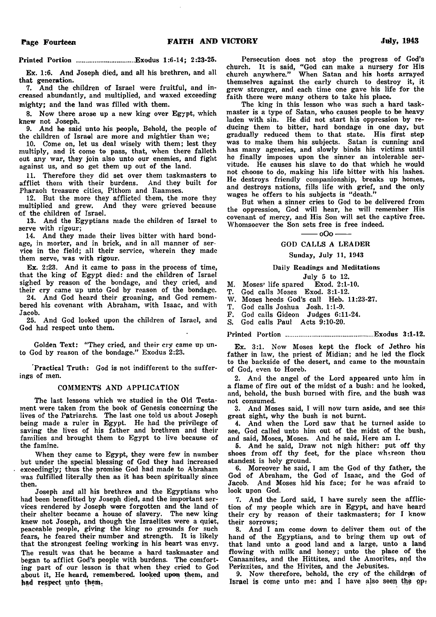**Printed Portion . Exodus 1:6-14; 2:23-25.**

**Ex. 1:6. And Joseph died, and all his brethren, and all that generation.**

**7. And the children of Israel were fruitful, and increased abundantly, and multiplied, and waxed exceeding mighty; and the land was filled with them.**

**8. Now there arose up a new king over Egypt, which knew not Joseph.**

**9. And he said unto his people, Behold, the people of the children of Israel are more and mightier than we;**

**10. Come on, let us deal wisely with them; lest they** multiply, and it come to pass, that, when there falleth **out any war, they join also unto our enemies, and fight against us, and so get them up out of the land.**

**11. Therefore they did set over them taskmasters to afflict them with their burdens. And they built for Pharaoh treasure cities, Pithom and Raamses.**

**12. But the more they afflicted them, the more they multiplied and grew. And they were grieved because of the children of Israel.**

**13. And the Egyptians made the children of Israel to serve with rigour;**

**14. And they made their lives bitter with hard bondage, in morter, and in brick, and in all manner of service in the field; all their service, wherein they made them serve, was with rigour.**

**Ex. 2:23. And it came to pass in the process of time, that the king of Egypt died: and the children of Israel sighed by reason of the bondage, and they cried, and their cry came up unto God by reason of the bondage.**

**24. And God heard their groaning, and God remembered his covenant with Abraham, with Isaac, and with Jacob.**

**25. And God looked upon the children of Israel, and God had respect unto them.**

Golden Text: "They cried, and their cry came up un**to God by reason of the bondage." Exodus 2:23.**

**'Practical Truth: God is not indifferent to the sufferings of men.**

#### **COMMENTS AND APPLICATION**

**The last lessons which we studied in the Old Testament were taken from the book of Genesis concerning the lives of the Patriarchs. The last one told us about Joseph being made a ruler in Egypt. He had the privilege of saving the lives of his father and brethren and their families and brought them to Egypt to live because of the famine.**

**When they came to Egypt, they were few in number but under the special blessing of God they had increased exceedingly; thus the promise God had made to Abraham was fulfilled literally then as it has been spiritually since then.**

**Joseph and all his brethren and the Egyptians who had been benefitted by Joseph died, and the important services rendered by Joseph were forgotten and the land of their shelter became a house of slavery. The new king knew not Joseph, and though the Israelites were a quiet, peaceable people, giving the king no grounds for such fears, he feared their number and strength. It is likely that the strongest feeling working in his heart was envy. The result was that he became a hard taskmaster and began to afflict God's people with burdens. The comforting part of our lesson is that when they cried to God about it, He heard, remembered, looked upon them, and had respect unto them.**

**Persecution does not stop the progress of God's church. It is said, " God can make a nursery for His church anywhere." When Satan and his hosts arrayed themselves against the early church to destroy it, it grew stronger, and each time one gave his life for the faith there were many others to take his place.**

**The king in this lesson who was such a hard taskmaster is a type of Satan, who causes people to be heavy laden with sin. He did not start his oppression by reducing them to bitter, hard bondage in one day, but gradually reduced them to that state. His first step was to make them his subjects. Satan is cunning and has many agencies, and slowly binds his victims until he finally imposes upon the sinner an intolerable servitude. He causes his slave to do that which he would not choose to do, making his life bitter with his lashes. He destroys friendly companionship, breaks up homes, and destroys nations, fills life with grief, and the only wages he offers to his subjects is " death."**

**But when a sinner cries to God to be delivered from the oppression, God will hear, he will remember His covenant of mercy, and His Son will set the captive free. Whomsoever the Son sets free is free indeed.**

 $-$  oOo  $-$ 

#### **GOD CALLS A LEADER**

#### **Sunday, July 11, 1943**

#### **Daily Readings and Meditations**

#### **July 5 to 12.**

**M. Moses' life spared Exod. 2:1-10.**

**T. God calls Moses Exod. 3:1-12.**

W. Moses heeds God's call Heb. 11:23-27.

**T. God calls Joshua Josh. 1:1-9.**

**F. God calls Gideon Judges 6:11-24.**

**S. God calls Paul Acts 9:10-20.**

**Printed Portion ....................................................... Exodus 3:1-12.**

**Ex. 3:1. Now Moses kept the flock of Jethro his father in law, the priest of Midian; and he led the flock to the backside of the desert, and came to the mountain of God, even to Horeb.**

**2. And the angel of the Lord appeared unto him in a flame of fire out of the midst of a bush: and he looked, and, behold, the bush burned with fire, and the bush was not consumed.**

**3. And Moses said, I w'ill now turn aside, and see this great sight, why the bush is not burnt.**

**4. And when the Lord saw that he turned aside to see, God called unto him out of the midst of the bush, and said, Moses, Moses. And he said, Here am I.**

**5. And he said, Draw' not nigh hither: put off thy** shoes from off thy feet, for the place whereon thou **standest is holy ground.**

**6. Moreover he said, I am the God of thy father, the God of Abraham, the God of Isaac, and the God of Jacob. And Moses hid his face; for he was afraid to look upon God.**

**7. And the Lord said, I have surely seen the affliction of my people which are in Egypt, and have heard their cry by reason of their taskmasters; for I know their sorrows;**

**8. And I am come dowm to deliver them out of the hand of the Egyptians, and to bring them up out of that land unto a good land and a large, unto a land flowing with milk and honey; unto the plaee of the Canaanites, and the Hittites, and the Amorites, and the Perizzites, and the Hivites, and the Jebusites.**

**9. Now' therefore, behold, the cry of the children of** Israel is come unto me: and I have also seen the op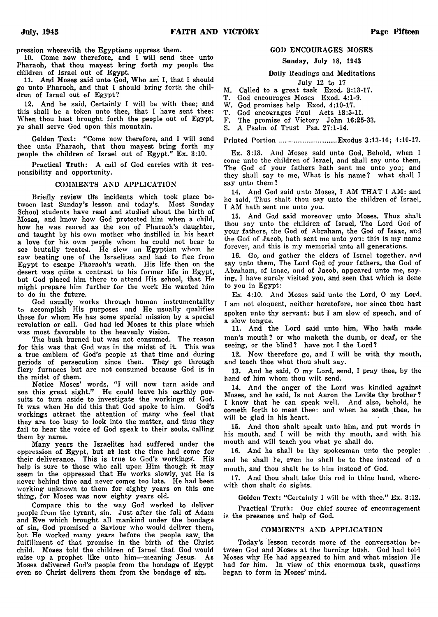**pression wherewith the Egyptians oppress them.**

**10. Come new therefore, and I will send thee unto Pharaoh, that thou mayest bring forth my people the children of Israel out of Egypt.**

**11. And Moses said unto God, Who am I, that I should go unto Pharaoh, and that I should bring forth the children of Israel out of Egypt?**

**12. And he said, Certainly I will be with thee; and this shall be a token unto thee, that I have sent thee: When thou hast brought forth the people out of Egypt, ye shall serve God upon this mountain.**

Golden Text: "Come now therefore, and I will send **thee unto Pharaoh, that thou mayest bring forth my people the children of Israel out of Egypt." Ex. 3:10.**

**Practical Truth: A call of God carries with it responsibility and opportunity.**

#### **COMMENTS AND APPLICATION**

**Briefly review tlfe incidents which took place between last Sunday's lesson and today's. Most Sunday School students have read and studied about the birth of Moses, and know how God protected him when a child, how he was reared as the son of Pharaoh's daughter, and taught by his own mother who instilled in his heart a love for his own people whom he could not bear to see brutally treated. He slew an Egyptian whom he saw beating one of the Israelites and had to flee from Egypt to escape Pharaoh's wrath. His life then on the desert was quite a contrast to his former life in Egypt, but God placed him there to attend His school, that He might prepare him further for the work He wanted him to do in the future.**

**God usually works through human instrumentality to accomplish His purposes and He usually qualifies those for whom He has some special mission by a special revelation or call. God had led Moses to this place which was most favorable to the heavenly vision.**

**The bush burned but was not consumed. The reason for this was that God was in the midst of it. This was a true emblem of God's people at that time and during periods of persecution since then. They go through fiery furnaces but are not consumed because God is in the midst of them.**

Notice Moses' words, "I will now turn aside and **see this great sight." He could leave his earthly pursuits to turn aside to investigate the workings of God. It was when He did this that God spoke to him. God's workings attract the attention of many who feel that they are too busy to look into the matter, and thus they fail to hear the voice of God speak to their souls, calling them by name.**

**Many years the Israelites had suffered under the oppression of Egypt, but at last the time had come for their deliverance. This is true to God's workings'. His help is sure to those who call upon Him though it may seem to the oppressed that He works slowly, yet He is never behind time and never comes too late. He had been working unknown to them for eighty years on this one thing, for Moses was now eighty years old.**

**Compare this to the way God worked to deliver people from the tyrant, sin. Just after the fall of Adam and Eve which brought all mankind under the bondage of sin, God promised a Saviour who would deliver them, but He worked many years before the people saw. the fulfillment of that promise in the birth of the Christ** child. Moses told the children of Israel that God would **raise up a prophet like unto him— meaning Jesus. As Moses delivered God's people from the bondage of Egypt even so Christ delivers them from the bondage of sin.**

#### **GOD ENCOURAGES MOSES**

**Sunday, July 18, 1943**

**Daily Readings and Meditations**

**July 12 to 17**

**M. Called to a great task Exod. 3:13-17.**

**T. God encourages Moses Exod. 4:1-9.**

W. God promises help Exod. 4:10-17.<br>T. God encourages Paul Acts 18:5-1

**T. God encourages Paul Acts 18:5-11.**

**F. The promise of Victory John 16:25-33.**

**S. A Psalm of Trust Psa. 27:1-14.**

**Printed Portion .....................................Exodus 3:13-16; 4:10-17.**

**Ex. 3:13. And Moses said unto God, Behold, when I come unto the children of Israel, and shall say unto them, The God of your fathers hath sent me unto you; and they shall say to me, What is his name? what shall I say unto them ?**

14. And God said unto Moses, I AM THAT I AM: and **he said, Thus shalt thou say unto the children of Israel, I AM hath sent me unto you.**

15. And God said moreover unto Moses, Thus shalt **thou say unto the children of Israel, The Lord God of your fathers, the God of Abraham, the God of Isaac, arid the God of Jacob, hath sent me unto you: this is my name** forever, and this is my memorial unto all generations.

**16. Go, and gather the elders of Israel together, and say unto them, The Lord God of your fathers, the God of Abraham, of Isaac, and of Jacob, appeaved unto me, saying, I have surely visited you, and seen that which is done to you in Egypt:**

**Ex. 4:10. And Moses said unto the Lord, O my Lord. I am not eloquent, neither heretofore, nor since thou hast spoken unto thy servant: but I am slow of speech, and of a slow tongue.**

**11. And the Lord said unto him, Who hath made man's mouth ? or who maketh the dumb, or deaf, or the seeing, or the blind? have not I the Lord?**

**12. Now therefore go, and I will be with thy mouth, and teach thee what thou shalt say.**

**13. And he said, O my Lord, send, I pray thee, by the hand of him whom thou wilt send.**

**14. And the anger of the Lord was kindled against Moses, and he said, Is not Aaron the Levite thy brother? I know that he can speak well. And also, behold, he cometh forth to meet thee: and when he seeth thee, he will be glad in his heart.**

**15. And thou shalt speak unto him, and put words in his mouth, and I will be with thy mouth, and with his mouth and will teach you what ye shall do.**

**16. And he shall be thy spokesman unto the people: and he shall he, even he shall be to thee instead of a mouth, and thou shalt be to him instead of God.**

**17. And thou shalt take this rod in thine hand, wherewith thou shalt do sights.**

**Golden Text: " Certainly I will be with thee." Ex. 3:12.**

**Practical Truth: Our chief source of encouragement is the presence and help of God.**

#### **COMMENTS AND APPLICATION**

**Today's lesson records more of the conversation between God and Moses at the burning bush. God had told Moses why He had appeared to him and what mission He had for him. In view of this enormous task, questions began to form in Moses' mind.**